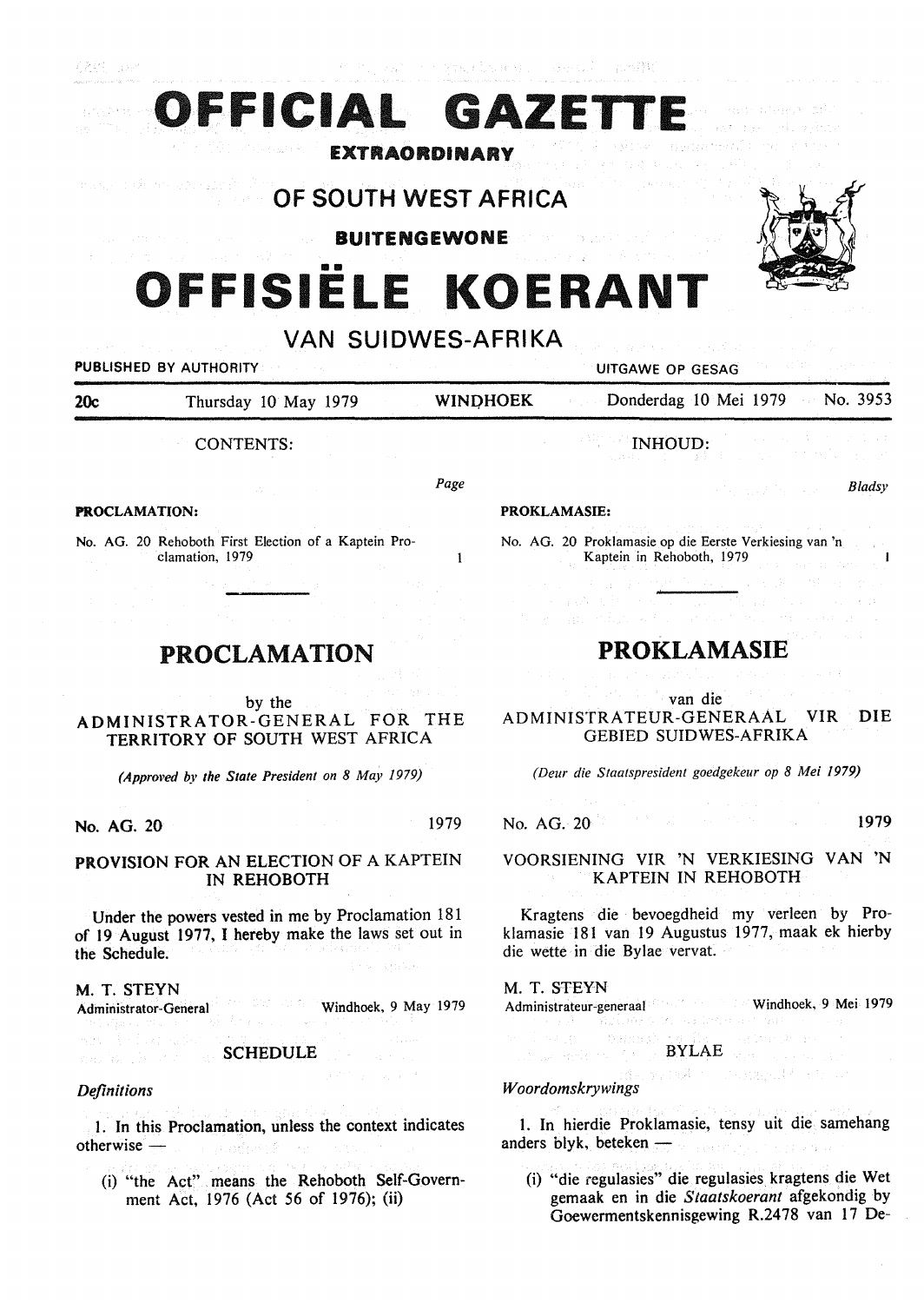Simply Fire agency

# ■ II **OFFISIELE KOERANT**

**FFICIAL GAZET** 

EXTRAORDINARY

OF SOUTH WEST AFRICA

BUITENGEWONE



PUBLISHED BY AUTHORITY **EXECUTE A SECOND TEST OF SECOND PUTGAWE OP GESAG** 

20c Thursday 10 May 1979 WINDHOEK Donderdag 10 Mei 1979 No. 3953

CONTENTS:

*Page* 

 $\mathbf{1}$ 

#### **PROCLAMATION:**

No. AG. 20 Rehoboth First Election of a Kaptein Proclamation, 1979

# PROCLAMATION

by the ADMINISTRATOR-GENERAL FOR THE TERRITORY OF SOUTH WEST AFRICA

*(Approved by the State President on 8 May 1979)* 

**No. AG. 20** 1979

# **PROVISION** FOR AN ELECTION OF A KAPTEIN IN REHOBOTH

Under the powers vested in me by Proclamation 181 of 19 August 1977, I hereby make the laws set out in the Schedule.

M. T. STEYN Administrator-General Windhoek, 9 May 1979

SCHEDULE

## *Definitions*

mar 第119 (1977)

I. In this Proclamation, unless the context indicates otherwise - The contract of the contract of the contract of the contract of the contract of the contract of the contract of the contract of the contract of the contract of the contract of the contract of the contract of th

(i) "the Act" means the Rehoboth Self-Government Act, 1976 (Act 56 of 1976); (ii)

# INHOUD:

#### *Bladsy*

#### **PROKLAMASIE:**

No. AG. 20 Proklamasie op die Eerste Verkiesing van 'n Kaptein in Rehoboth, 1979

# **PROKLAMASIE**

van die ADMINISTRATEUR-GENERAAL **VIR DIE**  GEBIED SUIDWES-AFRIKA

*(Deur die Staatspresident goedgekeur op 8 Mei 1979)* 

No. AG. 20<sup>19</sup> **1979** 

VOORSIENING VIR 'N VERKIESING VAN 'N KAPTEIN IN REHOBOTH

Kragtens die bevoegdheid my verleen by Proklamasie 181 van 19 Augustus 1977, maak ek hierby die wette in die Bylae vervat.

#### M. T. STEYN

Administrateur-generaal Windhoek, 9 Mei 1979 in typp 10

BYLAE

4.4 (1) The page R (1) From

#### *Woordomskrywings*

and which is the state of the con-

l. In hierdie Proklamasie, tensy uit die samehang anders blyk, beteken - Anders Blyk, beteken - Anders Blyk, beteken - Anders Blyk, anders Blyk, anders Blyk, anders Blyk, anders Blyk, anders Blyk, anders Blyk, anders Blyk, anders Blyk, anders Blyk, anders Blyk, anders Bly

(i) "die regulasies" die regulasies kragtens die Wet gemaak en in die *Staatskoerant* afgekondig by Goewermentskennisgewing R.2478 van 17 De-

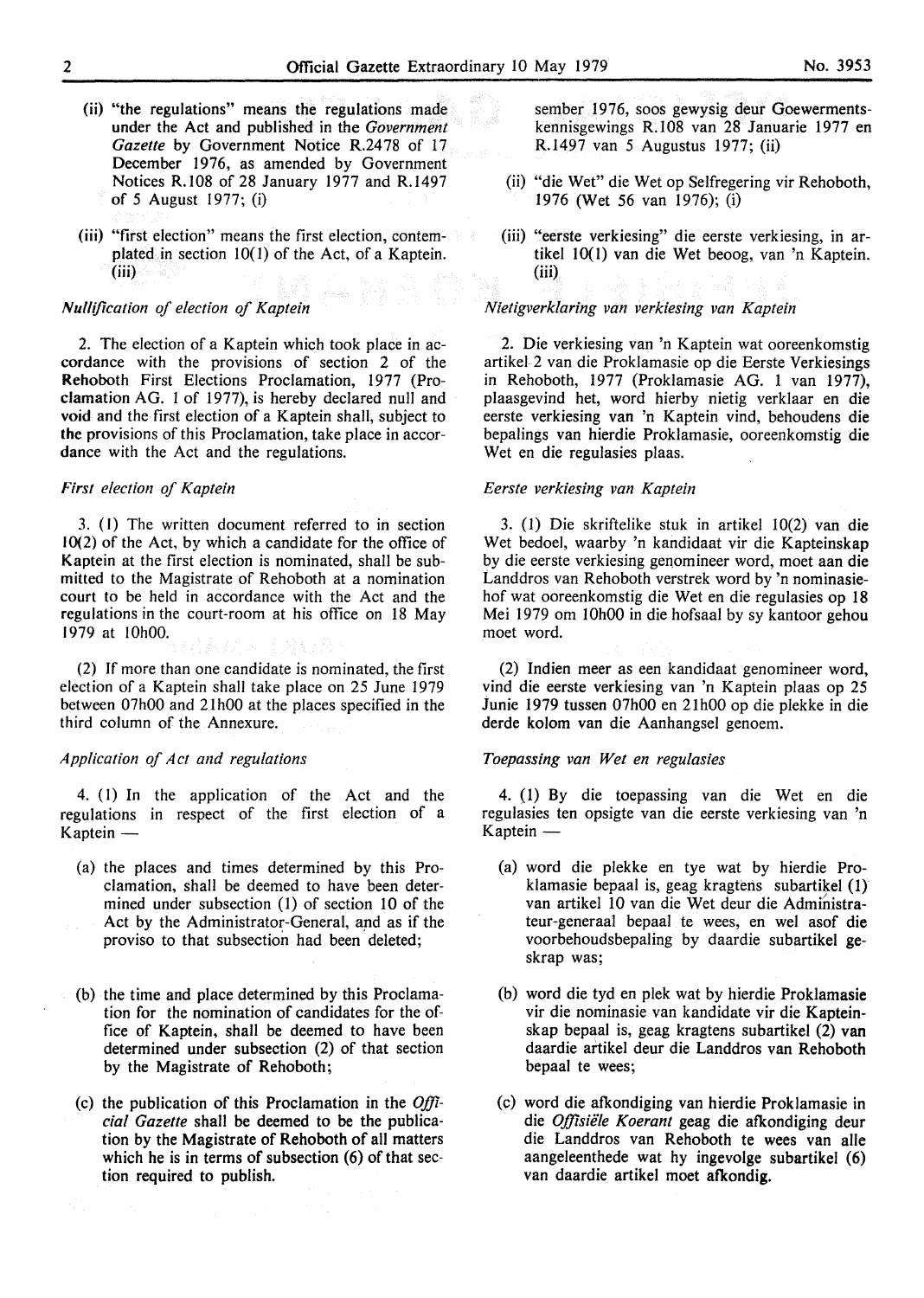- (ii) "the regulations" means the regulations made under the Act and published in the *Government*  Gazette by Government Notice R.2478 of 17 December 1976, as amended by Government Notices R.108 of 28 January 1977 and R.1497 of *5* August 1977; (i)
- (iii) "first election" means the first election, contemplated in section 10(1) of the Act, of a Kaptein. (iii)

#### *Nullification of election of Kaptein*

2. The election of a Kaptein which took place in accordance with the provisions of section 2 of the Rehoboth First Elections Proclamation, 1977 (Proclamation AG. 1 of 1977), is hereby declared null and **void** and the first election of a Kaptein shall, subject to **the** provisions of this Proclamation, take place in accordance with the Act and the regulations.

#### *First election of Kaptein*

3. ( 1) The written document referred to in section 10(2) of the Act, by which a candidate for the office of Kaptein at the first election is nominated, shall be submitted to the Magistrate of Rehoboth at a nomination court to be held in accordance with the Act and the regulations in the court-room at his office on 18 May 1979 at 10h00.

(2) If more than one candidate is nominated, the first election of a Kaptein shall take place on 25 June 1979 between 07h00 and 21h00 at the places specified in the third column of the Annexure.

## *Application of Act and regulations*

4. (I) In the application of the Act and the regulations in respect of the first election of a Kaptein -

- (a) the places and times determined by this Proclamation, shall be deemed to have been determined under subsection (1) of section 10 of the Act by the Administrator-General, and as if the proviso to that subsection had been deleted;
- (b) the time and place determined by this Proclamation for the nomination of candidates for the office of Kaptein, shall be deemed to have been determined under subsection (2) of that section by the Magistrate of Rehoboth;
- (c) the publication of this Proclamation in the *Official Gazette* shall be deemed to be the publication by the Magistrate of Rehoboth of all matters which he is in terms of subsection (6) of that section required to publish.

sember 1976, soos gewysig deur Goewermentskennisgewings R.108 van 28 Januarie 1977 en R.1497 van 5 Augustus 1977; (ii)

- (ii) "die Wet" die Wet op Selfregering vir Rehoboth, 1976 (Wet 56 van 1976); (i)
- (iii) "eerste verkiesing" die eerste verkiesing, in artikel 10(1) van die Wet beoog, van 'n Kaptein. (iii)

#### *Nietigverklaring van verkiesing van Kaptein*

2. Die verkiesing van 'n Kaptein wat ooreenkomstig artikel-2 van die Proklamasie op die Eerste Verkiesings in Rehoboth, 1977 (Proklamasie AG. 1 van 1977), plaasgevind het, word hierby nietig verklaar en die eerste verkiesing van 'n Kaptein vind, behoudens die bepalings van hierdie Proklamasie, ooreenkomstig die Wet en die regulasies plaas.

#### *Eerste verkiesing van Kaptein*

3. (1) Die skriftelike stuk in artikel 10(2) van die Wet bedoel, waarby 'n kandidaat vir die Kapteinskap by die eerste verkiesing genomineer word, moet aan die Landdros van Rehoboth verstrek word by 'n nominasiehof wat ooreenkomstig die Wet en die regulasies op **18**  Mei 1979 om 10h00 in die hofsaal by sy kantoor gehou moet word.

(2) lndien meer as een kandidaat genomineer word, vind die eerste verkiesing van 'n Kaptein plaas op 25 Junie 1979 tussen 07h00 en 21h00 op die plekke in die derde kolom van die Aanhangsel genoem.

#### *Toepassing van Wet en regulasies*

4. (1) By die toepassing van die Wet en die regulasies ten opsigte van die eerste verkiesing van 'n Kaptein  $-$ 

- (a) word die plekke en tye wat by hierdie Proklamasie bepaal is, geag kragtens subartikel ( 1) van artikel IO van die Wet deur die Administrateur-generaal bepaal te wees, en wel asof die voorbehoudsbepaling by daardie subartikel geskrap was;
- (b) word die tyd en plek wat by hierdie Proklamasie vir die nominasie van kandidate vir die Kapteinskap bepaal is, geag kragtens subartikel (2) van daardie artikel deur die Landdros van Rehoboth bepaal te wees;
- (c) word die afkondiging van hierdie Proklamasie in die *Offisiële Koerant* geag die afkondiging deur die Landdros van Rehoboth te wees van alle aangeleenthede wat hy ingevolge subartikel (6) van daardie artikel moet **afkondig.**